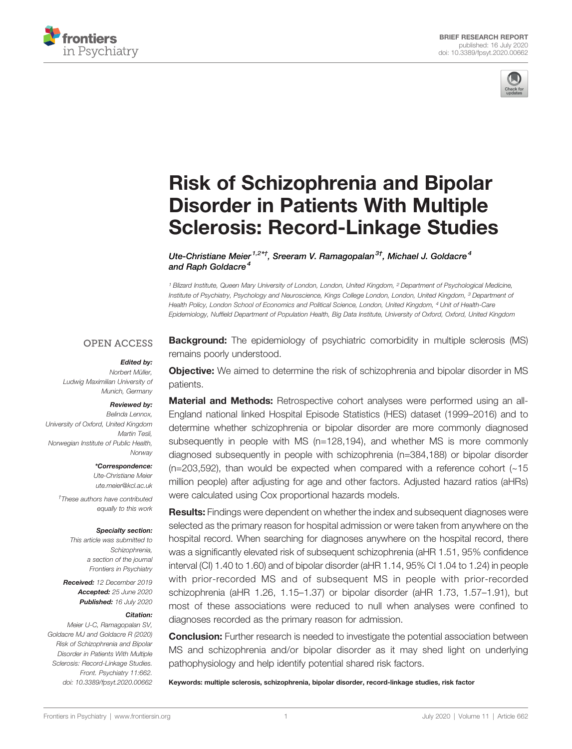



# [Risk of Schizophrenia and Bipolar](https://www.frontiersin.org/articles/10.3389/fpsyt.2020.00662/full) [Disorder in Patients With Multiple](https://www.frontiersin.org/articles/10.3389/fpsyt.2020.00662/full) [Sclerosis: Record-Linkage Studies](https://www.frontiersin.org/articles/10.3389/fpsyt.2020.00662/full)

[Ute-Christiane Meier](https://loop.frontiersin.org/people/370186)<sup>1,2\*†</sup>, [Sreeram V. Ramagopalan](https://loop.frontiersin.org/people/1002639)<sup>3†</sup>, [Michael J. Goldacre](https://loop.frontiersin.org/people/1002784)<sup>4</sup> and [Raph Goldacre](https://loop.frontiersin.org/people/999424)<sup>4</sup>

<sup>1</sup> Blizard Institute, Queen Mary University of London, London, United Kingdom, <sup>2</sup> Department of Psychological Medicine, Institute of Psychiatry, Psychology and Neuroscience, Kings College London, London, United Kingdom, <sup>3</sup> Department of Health Policy, London School of Economics and Political Science, London, United Kingdom, <sup>4</sup> Unit of Health-Care Epidemiology, Nuffield Department of Population Health, Big Data Institute, University of Oxford, Oxford, United Kingdom

#### **OPEN ACCESS**

#### Edited by:

Norbert Müller, Ludwig Maximilian University of Munich, Germany

#### Reviewed by:

Belinda Lennox, University of Oxford, United Kingdom Martin Tesli, Norwegian Institute of Public Health, Norway

> \*Correspondence: Ute-Christiane Meier

[ute.meier@kcl.ac.uk](mailto:ute.meier@kcl.ac.uk)

† These authors have contributed equally to this work

#### Specialty section:

This article was submitted to Schizophrenia. a section of the journal Frontiers in Psychiatry

Received: 12 December 2019 Accepted: 25 June 2020 Published: 16 July 2020

#### Citation:

Meier U-C, Ramagopalan SV, Goldacre MJ and Goldacre R (2020) Risk of Schizophrenia and Bipolar Disorder in Patients With Multiple Sclerosis: Record-Linkage Studies. Front. Psychiatry 11:662. [doi: 10.3389/fpsyt.2020.00662](https://doi.org/10.3389/fpsyt.2020.00662) **Background:** The epidemiology of psychiatric comorbidity in multiple sclerosis (MS) remains poorly understood.

**Objective:** We aimed to determine the risk of schizophrenia and bipolar disorder in MS patients.

**Material and Methods:** Retrospective cohort analyses were performed using an all-England national linked Hospital Episode Statistics (HES) dataset (1999–2016) and to determine whether schizophrenia or bipolar disorder are more commonly diagnosed subsequently in people with MS (n=128,194), and whether MS is more commonly diagnosed subsequently in people with schizophrenia (n=384,188) or bipolar disorder  $(n=203,592)$ , than would be expected when compared with a reference cohort  $(-15)$ million people) after adjusting for age and other factors. Adjusted hazard ratios (aHRs) were calculated using Cox proportional hazards models.

Results: Findings were dependent on whether the index and subsequent diagnoses were selected as the primary reason for hospital admission or were taken from anywhere on the hospital record. When searching for diagnoses anywhere on the hospital record, there was a significantly elevated risk of subsequent schizophrenia (aHR 1.51, 95% confidence interval (CI) 1.40 to 1.60) and of bipolar disorder (aHR 1.14, 95% CI 1.04 to 1.24) in people with prior-recorded MS and of subsequent MS in people with prior-recorded schizophrenia (aHR 1.26, 1.15–1.37) or bipolar disorder (aHR 1.73, 1.57–1.91), but most of these associations were reduced to null when analyses were confined to diagnoses recorded as the primary reason for admission.

**Conclusion:** Further research is needed to investigate the potential association between MS and schizophrenia and/or bipolar disorder as it may shed light on underlying pathophysiology and help identify potential shared risk factors.

Keywords: multiple sclerosis, schizophrenia, bipolar disorder, record-linkage studies, risk factor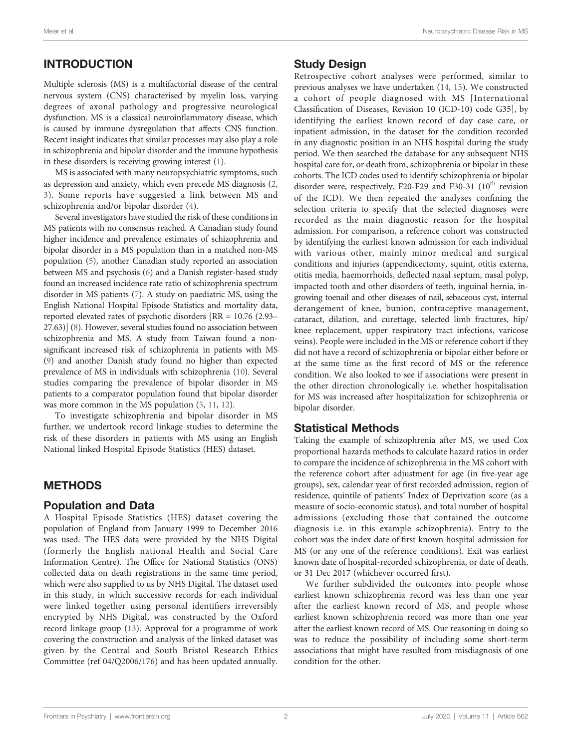# INTRODUCTION

Multiple sclerosis (MS) is a multifactorial disease of the central nervous system (CNS) characterised by myelin loss, varying degrees of axonal pathology and progressive neurological dysfunction. MS is a classical neuroinflammatory disease, which is caused by immune dysregulation that affects CNS function. Recent insight indicates that similar processes may also play a role in schizophrenia and bipolar disorder and the immune hypothesis in these disorders is receiving growing interest [\(1\)](#page-4-0).

MS is associated with many neuropsychiatric symptoms, such as depression and anxiety, which even precede MS diagnosis ([2](#page-4-0), [3](#page-4-0)). Some reports have suggested a link between MS and schizophrenia and/or bipolar disorder ([4](#page-4-0)).

Several investigators have studied the risk of these conditions in MS patients with no consensus reached. A Canadian study found higher incidence and prevalence estimates of schizophrenia and bipolar disorder in a MS population than in a matched non-MS population [\(5\)](#page-4-0), another Canadian study reported an association between MS and psychosis ([6](#page-4-0)) and a Danish register-based study found an increased incidence rate ratio of schizophrenia spectrum disorder in MS patients [\(7\)](#page-4-0). A study on paediatric MS, using the English National Hospital Episode Statistics and mortality data, reported elevated rates of psychotic disorders [RR = 10.76 (2.93– 27.63)] ([8](#page-4-0)). However, several studies found no association between schizophrenia and MS. A study from Taiwan found a nonsignificant increased risk of schizophrenia in patients with MS ([9\)](#page-4-0) and another Danish study found no higher than expected prevalence of MS in individuals with schizophrenia ([10\)](#page-4-0). Several studies comparing the prevalence of bipolar disorder in MS patients to a comparator population found that bipolar disorder was more common in the MS population [\(5,](#page-4-0) [11](#page-4-0), [12](#page-4-0)).

To investigate schizophrenia and bipolar disorder in MS further, we undertook record linkage studies to determine the risk of these disorders in patients with MS using an English National linked Hospital Episode Statistics (HES) dataset.

## **METHODS**

#### Population and Data

A Hospital Episode Statistics (HES) dataset covering the population of England from January 1999 to December 2016 was used. The HES data were provided by the NHS Digital (formerly the English national Health and Social Care Information Centre). The Office for National Statistics (ONS) collected data on death registrations in the same time period, which were also supplied to us by NHS Digital. The dataset used in this study, in which successive records for each individual were linked together using personal identifiers irreversibly encrypted by NHS Digital, was constructed by the Oxford record linkage group ([13\)](#page-4-0). Approval for a programme of work covering the construction and analysis of the linked dataset was given by the Central and South Bristol Research Ethics Committee (ref 04/Q2006/176) and has been updated annually.

#### Study Design

Retrospective cohort analyses were performed, similar to previous analyses we have undertaken [\(14](#page-4-0), [15](#page-4-0)). We constructed a cohort of people diagnosed with MS [International Classification of Diseases, Revision 10 (ICD-10) code G35], by identifying the earliest known record of day case care, or inpatient admission, in the dataset for the condition recorded in any diagnostic position in an NHS hospital during the study period. We then searched the database for any subsequent NHS hospital care for, or death from, schizophrenia or bipolar in these cohorts. The ICD codes used to identify schizophrenia or bipolar disorder were, respectively, F20-F29 and F30-31  $(10^{th}$  revision of the ICD). We then repeated the analyses confining the selection criteria to specify that the selected diagnoses were recorded as the main diagnostic reason for the hospital admission. For comparison, a reference cohort was constructed by identifying the earliest known admission for each individual with various other, mainly minor medical and surgical conditions and injuries (appendicectomy, squint, otitis externa, otitis media, haemorrhoids, deflected nasal septum, nasal polyp, impacted tooth and other disorders of teeth, inguinal hernia, ingrowing toenail and other diseases of nail, sebaceous cyst, internal derangement of knee, bunion, contraceptive management, cataract, dilation, and curettage, selected limb fractures, hip/ knee replacement, upper respiratory tract infections, varicose veins). People were included in the MS or reference cohort if they did not have a record of schizophrenia or bipolar either before or at the same time as the first record of MS or the reference condition. We also looked to see if associations were present in the other direction chronologically i.e. whether hospitalisation for MS was increased after hospitalization for schizophrenia or bipolar disorder.

## Statistical Methods

Taking the example of schizophrenia after MS, we used Cox proportional hazards methods to calculate hazard ratios in order to compare the incidence of schizophrenia in the MS cohort with the reference cohort after adjustment for age (in five-year age groups), sex, calendar year of first recorded admission, region of residence, quintile of patients' Index of Deprivation score (as a measure of socio-economic status), and total number of hospital admissions (excluding those that contained the outcome diagnosis i.e. in this example schizophrenia). Entry to the cohort was the index date of first known hospital admission for MS (or any one of the reference conditions). Exit was earliest known date of hospital-recorded schizophrenia, or date of death, or 31 Dec 2017 (whichever occurred first).

We further subdivided the outcomes into people whose earliest known schizophrenia record was less than one year after the earliest known record of MS, and people whose earliest known schizophrenia record was more than one year after the earliest known record of MS. Our reasoning in doing so was to reduce the possibility of including some short-term associations that might have resulted from misdiagnosis of one condition for the other.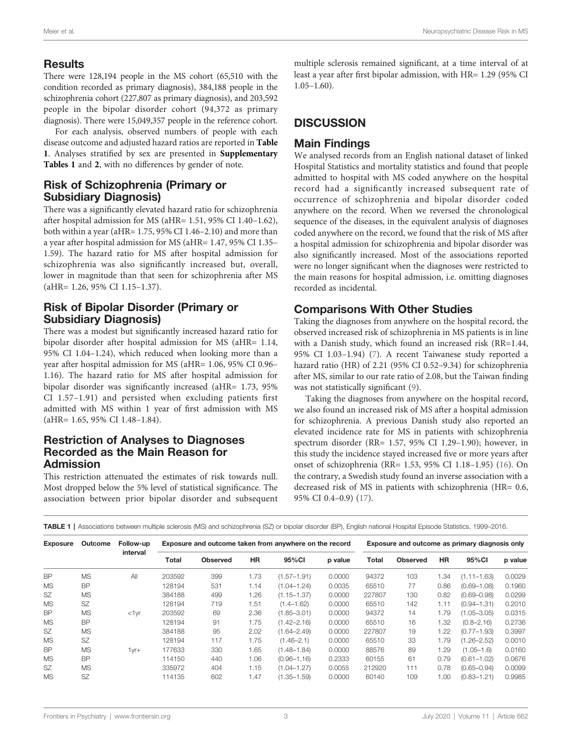#### Results

There were 128,194 people in the MS cohort (65,510 with the condition recorded as primary diagnosis), 384,188 people in the schizophrenia cohort (227,807 as primary diagnosis), and 203,592 people in the bipolar disorder cohort (94,372 as primary diagnosis). There were 15,049,357 people in the reference cohort.

For each analysis, observed numbers of people with each disease outcome and adjusted hazard ratios are reported in Table 1. Analyses stratified by sex are presented in [Supplementary](#page-3-0) [Tables 1](#page-3-0) and [2](#page-3-0), with no differences by gender of note.

#### Risk of Schizophrenia (Primary or Subsidiary Diagnosis)

There was a significantly elevated hazard ratio for schizophrenia after hospital admission for MS (aHR= 1.51, 95% CI 1.40–1.62), both within a year (aHR= 1.75, 95% CI 1.46–2.10) and more than a year after hospital admission for MS (aHR= 1.47, 95% CI 1.35– 1.59). The hazard ratio for MS after hospital admission for schizophrenia was also significantly increased but, overall, lower in magnitude than that seen for schizophrenia after MS (aHR= 1.26, 95% CI 1.15–1.37).

## Risk of Bipolar Disorder (Primary or Subsidiary Diagnosis)

There was a modest but significantly increased hazard ratio for bipolar disorder after hospital admission for MS (aHR= 1.14, 95% CI 1.04–1.24), which reduced when looking more than a year after hospital admission for MS (aHR= 1.06, 95% CI 0.96– 1.16). The hazard ratio for MS after hospital admission for bipolar disorder was significantly increased (aHR= 1.73, 95% CI 1.57–1.91) and persisted when excluding patients first admitted with MS within 1 year of first admission with MS (aHR= 1.65, 95% CI 1.48–1.84).

## Restriction of Analyses to Diagnoses Recorded as the Main Reason for Admission

This restriction attenuated the estimates of risk towards null. Most dropped below the 5% level of statistical significance. The association between prior bipolar disorder and subsequent multiple sclerosis remained significant, at a time interval of at least a year after first bipolar admission, with HR= 1.29 (95% CI  $1.05-1.60$ ).

# **DISCUSSION**

#### Main Findings

We analysed records from an English national dataset of linked Hospital Statistics and mortality statistics and found that people admitted to hospital with MS coded anywhere on the hospital record had a significantly increased subsequent rate of occurrence of schizophrenia and bipolar disorder coded anywhere on the record. When we reversed the chronological sequence of the diseases, in the equivalent analysis of diagnoses coded anywhere on the record, we found that the risk of MS after a hospital admission for schizophrenia and bipolar disorder was also significantly increased. Most of the associations reported were no longer significant when the diagnoses were restricted to the main reasons for hospital admission, i.e. omitting diagnoses recorded as incidental.

## Comparisons With Other Studies

Taking the diagnoses from anywhere on the hospital record, the observed increased risk of schizophrenia in MS patients is in line with a Danish study, which found an increased risk (RR=1.44, 95% CI 1.03–1.94) ([7](#page-4-0)). A recent Taiwanese study reported a hazard ratio (HR) of 2.21 (95% CI 0.52–9.34) for schizophrenia after MS, similar to our rate ratio of 2.08, but the Taiwan finding was not statistically significant ([9](#page-4-0)).

Taking the diagnoses from anywhere on the hospital record, we also found an increased risk of MS after a hospital admission for schizophrenia. A previous Danish study also reported an elevated incidence rate for MS in patients with schizophrenia spectrum disorder (RR= 1.57, 95% CI 1.29–1.90); however, in this study the incidence stayed increased five or more years after onset of schizophrenia (RR= 1.53, 95% CI 1.18–1.95) ([16](#page-4-0)). On the contrary, a Swedish study found an inverse association with a decreased risk of MS in patients with schizophrenia (HR= 0.6, 95% CI 0.4–0.9) [\(17](#page-4-0)).

|  |  |  |  |  | TABLE 1   Associations between multiple sclerosis (MS) and schizophrenia (SZ) or bipolar disorder (BP), English national Hospital Episode Statistics, 1999-2016 |  |
|--|--|--|--|--|-----------------------------------------------------------------------------------------------------------------------------------------------------------------|--|
|--|--|--|--|--|-----------------------------------------------------------------------------------------------------------------------------------------------------------------|--|

| <b>Exposure</b> | Outcome   | Follow-up<br>interval | Exposure and outcome taken from anywhere on the record |                 |           |                 |         | Exposure and outcome as primary diagnosis only |                 |           |                 |         |
|-----------------|-----------|-----------------------|--------------------------------------------------------|-----------------|-----------|-----------------|---------|------------------------------------------------|-----------------|-----------|-----------------|---------|
|                 |           |                       | Total                                                  | <b>Observed</b> | <b>HR</b> | 95%CI           | p value | Total                                          | <b>Observed</b> | <b>HR</b> | 95%CI           | p value |
| <b>BP</b>       | <b>MS</b> | All                   | 203592                                                 | 399             | 1.73      | $(1.57 - 1.91)$ | 0.0000  | 94372                                          | 103             | 1.34      | $(1.11 - 1.63)$ | 0.0029  |
| <b>MS</b>       | <b>BP</b> |                       | 128194                                                 | 531             | 1.14      | $(1.04 - 1.24)$ | 0.0035  | 65510                                          | 77              | 0.86      | $(0.69 - 1.08)$ | 0.1960  |
| SZ              | <b>MS</b> |                       | 384188                                                 | 499             | 1.26      | $(1.15 - 1.37)$ | 0.0000  | 227807                                         | 130             | 0.82      | $(0.69 - 0.98)$ | 0.0299  |
| <b>MS</b>       | <b>SZ</b> |                       | 128194                                                 | 719             | 1.51      | $(1.4 - 1.62)$  | 0.0000  | 65510                                          | 142             | 1.11      | $(0.94 - 1.31)$ | 0.2010  |
| <b>BP</b>       | <b>MS</b> | $<1$ vr               | 203592                                                 | 69              | 2.36      | $(1.85 - 3.01)$ | 0.0000  | 94372                                          | 14              | 1.79      | $(1.05 - 3.05)$ | 0.0315  |
| <b>MS</b>       | <b>BP</b> |                       | 128194                                                 | 91              | 1.75      | $(1.42 - 2.16)$ | 0.0000  | 65510                                          | 16              | 1.32      | $(0.8 - 2.16)$  | 0.2736  |
| <b>SZ</b>       | <b>MS</b> |                       | 384188                                                 | 95              | 2.02      | $(1.64 - 2.49)$ | 0.0000  | 227807                                         | 19              | 1.22      | $(0.77 - 1.93)$ | 0.3997  |
| <b>MS</b>       | <b>SZ</b> |                       | 128194                                                 | 117             | 1.75      | $(1.46 - 2.1)$  | 0.0000  | 65510                                          | 33              | 1.79      | $(1.26 - 2.52)$ | 0.0010  |
| <b>BP</b>       | <b>MS</b> | $1yr+$                | 177633                                                 | 330             | 1.65      | $(1.48 - 1.84)$ | 0.0000  | 88576                                          | 89              | 1.29      | $(1.05 - 1.6)$  | 0.0160  |
| <b>MS</b>       | <b>BP</b> |                       | 114150                                                 | 440             | 1.06      | $(0.96 - 1.16)$ | 0.2333  | 60155                                          | 61              | 0.79      | $(0.61 - 1.02)$ | 0.0676  |
| <b>SZ</b>       | <b>MS</b> |                       | 335972                                                 | 404             | 1.15      | $(1.04 - 1.27)$ | 0.0055  | 212920                                         | 111             | 0.78      | $(0.65 - 0.94)$ | 0.0099  |
| <b>MS</b>       | <b>SZ</b> |                       | 114135                                                 | 602             | 1.47      | $(1.35 - 1.59)$ | 0.0000  | 60140                                          | 109             | 1.00      | $(0.83 - 1.21)$ | 0.9985  |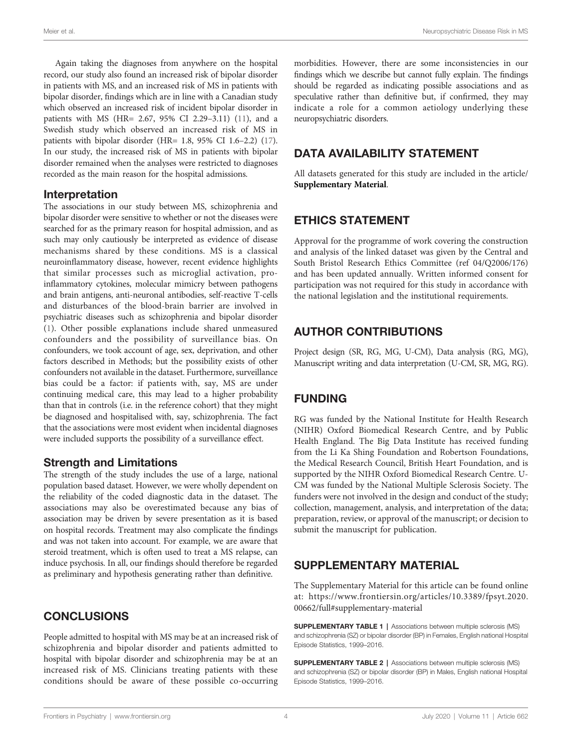<span id="page-3-0"></span>Meier et al. Neuropsychiatric Disease Risk in MS

Again taking the diagnoses from anywhere on the hospital record, our study also found an increased risk of bipolar disorder in patients with MS, and an increased risk of MS in patients with bipolar disorder, findings which are in line with a Canadian study which observed an increased risk of incident bipolar disorder in patients with MS (HR= 2.67, 95% CI 2.29–3.11) [\(11](#page-4-0)), and a Swedish study which observed an increased risk of MS in patients with bipolar disorder (HR= 1.8, 95% CI 1.6–2.2) [\(17\)](#page-4-0). In our study, the increased risk of MS in patients with bipolar disorder remained when the analyses were restricted to diagnoses recorded as the main reason for the hospital admissions.

#### Interpretation

The associations in our study between MS, schizophrenia and bipolar disorder were sensitive to whether or not the diseases were searched for as the primary reason for hospital admission, and as such may only cautiously be interpreted as evidence of disease mechanisms shared by these conditions. MS is a classical neuroinflammatory disease, however, recent evidence highlights that similar processes such as microglial activation, proinflammatory cytokines, molecular mimicry between pathogens and brain antigens, anti-neuronal antibodies, self-reactive T-cells and disturbances of the blood-brain barrier are involved in psychiatric diseases such as schizophrenia and bipolar disorder ([1](#page-4-0)). Other possible explanations include shared unmeasured confounders and the possibility of surveillance bias. On confounders, we took account of age, sex, deprivation, and other factors described in Methods; but the possibility exists of other confounders not available in the dataset. Furthermore, surveillance bias could be a factor: if patients with, say, MS are under continuing medical care, this may lead to a higher probability than that in controls (i.e. in the reference cohort) that they might be diagnosed and hospitalised with, say, schizophrenia. The fact that the associations were most evident when incidental diagnoses were included supports the possibility of a surveillance effect.

#### Strength and Limitations

The strength of the study includes the use of a large, national population based dataset. However, we were wholly dependent on the reliability of the coded diagnostic data in the dataset. The associations may also be overestimated because any bias of association may be driven by severe presentation as it is based on hospital records. Treatment may also complicate the findings and was not taken into account. For example, we are aware that steroid treatment, which is often used to treat a MS relapse, can induce psychosis. In all, our findings should therefore be regarded as preliminary and hypothesis generating rather than definitive.

## **CONCLUSIONS**

People admitted to hospital with MS may be at an increased risk of schizophrenia and bipolar disorder and patients admitted to hospital with bipolar disorder and schizophrenia may be at an increased risk of MS. Clinicians treating patients with these conditions should be aware of these possible co-occurring morbidities. However, there are some inconsistencies in our findings which we describe but cannot fully explain. The findings should be regarded as indicating possible associations and as speculative rather than definitive but, if confirmed, they may indicate a role for a common aetiology underlying these neuropsychiatric disorders.

# DATA AVAILABILITY STATEMENT

All datasets generated for this study are included in the article/ Supplementary Material.

## ETHICS STATEMENT

Approval for the programme of work covering the construction and analysis of the linked dataset was given by the Central and South Bristol Research Ethics Committee (ref 04/Q2006/176) and has been updated annually. Written informed consent for participation was not required for this study in accordance with the national legislation and the institutional requirements.

# AUTHOR CONTRIBUTIONS

Project design (SR, RG, MG, U-CM), Data analysis (RG, MG), Manuscript writing and data interpretation (U-CM, SR, MG, RG).

# FUNDING

RG was funded by the National Institute for Health Research (NIHR) Oxford Biomedical Research Centre, and by Public Health England. The Big Data Institute has received funding from the Li Ka Shing Foundation and Robertson Foundations, the Medical Research Council, British Heart Foundation, and is supported by the NIHR Oxford Biomedical Research Centre. U-CM was funded by the National Multiple Sclerosis Society. The funders were not involved in the design and conduct of the study; collection, management, analysis, and interpretation of the data; preparation, review, or approval of the manuscript; or decision to submit the manuscript for publication.

# SUPPLEMENTARY MATERIAL

The Supplementary Material for this article can be found online at: [https://www.frontiersin.org/articles/10.3389/fpsyt.2020.](https://www.frontiersin.org/articles/10.3389//fpsyt.2020.00662/full#supplementary-material) [00662/full#supplementary-material](https://www.frontiersin.org/articles/10.3389//fpsyt.2020.00662/full#supplementary-material)

SUPPLEMENTARY TABLE 1 | Associations between multiple sclerosis (MS) and schizophrenia (SZ) or bipolar disorder (BP) in Females, English national Hospital Episode Statistics, 1999–2016.

SUPPLEMENTARY TABLE 2 | Associations between multiple sclerosis (MS) and schizophrenia (SZ) or bipolar disorder (BP) in Males, English national Hospital Episode Statistics, 1999–2016.